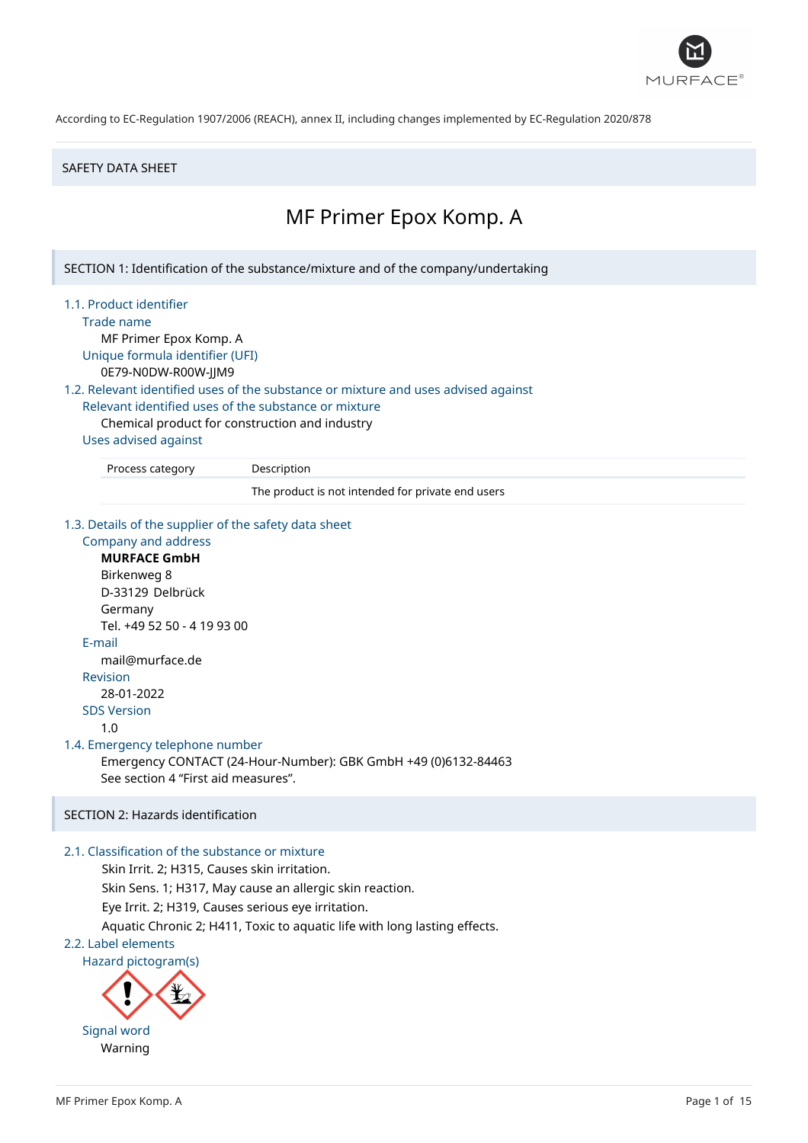

### SAFETY DATA SHEET

# MF Primer Epox Komp. A

SECTION 1: Identification of the substance/mixture and of the company/undertaking

1.1. Product identifier

Trade name

MF Primer Epox Komp. A Unique formula identifier (UFI)

0E79-N0DW-R00W-JJM9

1.2. Relevant identified uses of the substance or mixture and uses advised against

Relevant identified uses of the substance or mixture

Chemical product for construction and industry

### Uses advised against

Process category Description

The product is not intended for private end users

1.3. Details of the supplier of the safety data sheet

# Company and address **MURFACE GmbH** Birkenweg 8 D-33129 Delbrück Germany Tel. +49 52 50 - 4 19 93 00 E-mail mail@murface.de Revision 28-01-2022 SDS Version 1.0 1.4. Emergency telephone number Emergency CONTACT (24-Hour-Number): GBK GmbH +49 (0)6132-84463 See section 4 "First aid measures".

# SECTION 2: Hazards identification

### 2.1. Classification of the substance or mixture

Skin Irrit. 2; H315, Causes skin irritation. Skin Sens. 1; H317, May cause an allergic skin reaction. Eye Irrit. 2; H319, Causes serious eye irritation. Aquatic Chronic 2; H411, Toxic to aquatic life with long lasting effects.

### 2.2. Label elements

Hazard pictogram(s)

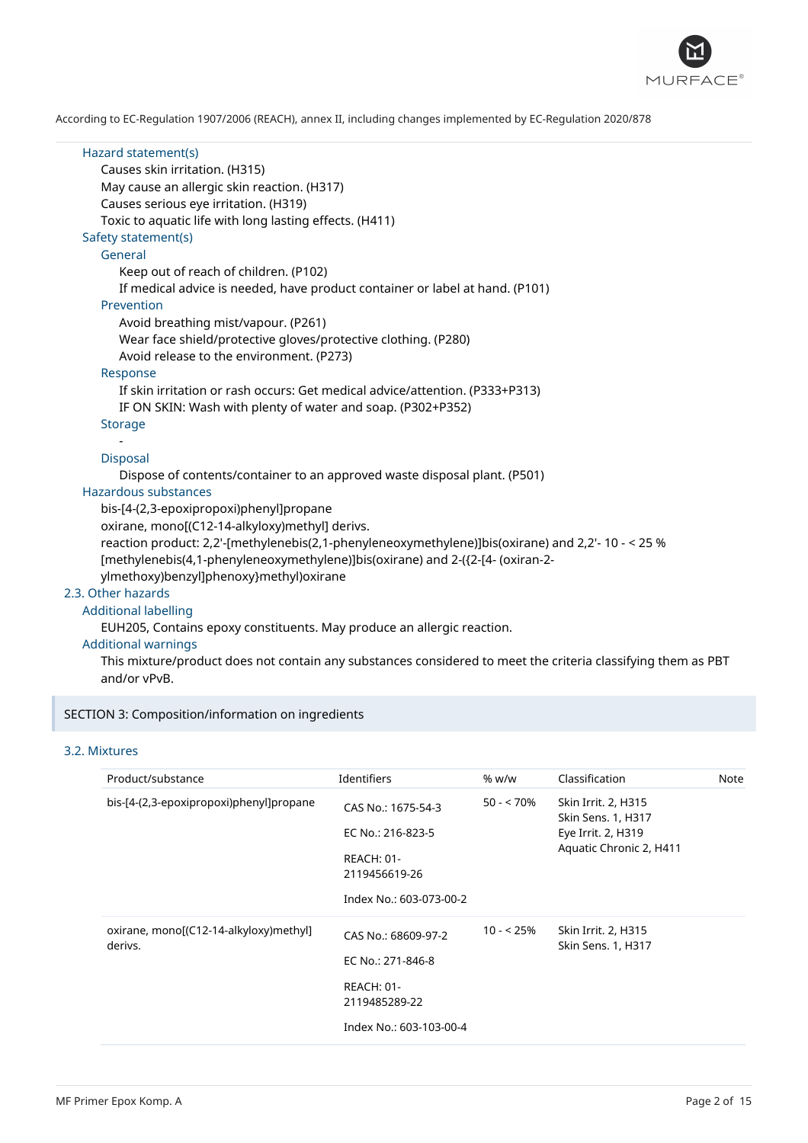

| Hazard statement(s)                                                                                                          |
|------------------------------------------------------------------------------------------------------------------------------|
| Causes skin irritation. (H315)                                                                                               |
| May cause an allergic skin reaction. (H317)                                                                                  |
| Causes serious eye irritation. (H319)                                                                                        |
| Toxic to aquatic life with long lasting effects. (H411)                                                                      |
| Safety statement(s)                                                                                                          |
| General                                                                                                                      |
| Keep out of reach of children. (P102)                                                                                        |
| If medical advice is needed, have product container or label at hand. (P101)                                                 |
| Prevention                                                                                                                   |
| Avoid breathing mist/vapour. (P261)                                                                                          |
| Wear face shield/protective gloves/protective clothing. (P280)                                                               |
| Avoid release to the environment. (P273)                                                                                     |
| Response                                                                                                                     |
| If skin irritation or rash occurs: Get medical advice/attention. (P333+P313)                                                 |
| IF ON SKIN: Wash with plenty of water and soap. (P302+P352)                                                                  |
| <b>Storage</b>                                                                                                               |
|                                                                                                                              |
| Disposal                                                                                                                     |
| Dispose of contents/container to an approved waste disposal plant. (P501)                                                    |
| Hazardous substances                                                                                                         |
| bis-[4-(2,3-epoxipropoxi)phenyl]propane                                                                                      |
| oxirane, mono[(C12-14-alkyloxy)methyl] derivs.                                                                               |
| reaction product: 2,2'-[methylenebis(2,1-phenyleneoxymethylene)]bis(oxirane) and 2,2'- 10 - < 25 %                           |
| [methylenebis(4,1-phenyleneoxymethylene)]bis(oxirane) and 2-({2-[4- (oxiran-2-                                               |
| ylmethoxy)benzyl]phenoxy}methyl)oxirane                                                                                      |
| 2.3. Other hazards                                                                                                           |
| <b>Additional labelling</b>                                                                                                  |
| EUH205, Contains epoxy constituents. May produce an allergic reaction.                                                       |
| <b>Additional warnings</b>                                                                                                   |
| This mixture/product does not contain any substances considered to meet the criteria classifying them as PBT<br>and/or vPvB. |

# SECTION 3: Composition/information on ingredients

# 3.2. Mixtures

| Product/substance                                 | <b>Identifiers</b>                                                                                        | % w/w       | Classification                                                                                    | Note |
|---------------------------------------------------|-----------------------------------------------------------------------------------------------------------|-------------|---------------------------------------------------------------------------------------------------|------|
| bis-[4-(2,3-epoxipropoxi)phenyl]propane           | CAS No.: 1675-54-3<br>EC No.: 216-823-5<br><b>REACH: 01-</b><br>2119456619-26<br>Index No.: 603-073-00-2  | $50 - 70\%$ | Skin Irrit. 2, H315<br><b>Skin Sens. 1, H317</b><br>Eye Irrit. 2, H319<br>Aquatic Chronic 2, H411 |      |
| oxirane, mono[(C12-14-alkyloxy)methyl]<br>derivs. | CAS No.: 68609-97-2<br>EC No.: 271-846-8<br><b>REACH: 01-</b><br>2119485289-22<br>Index No.: 603-103-00-4 | $10 - 25%$  | Skin Irrit. 2, H315<br>Skin Sens. 1, H317                                                         |      |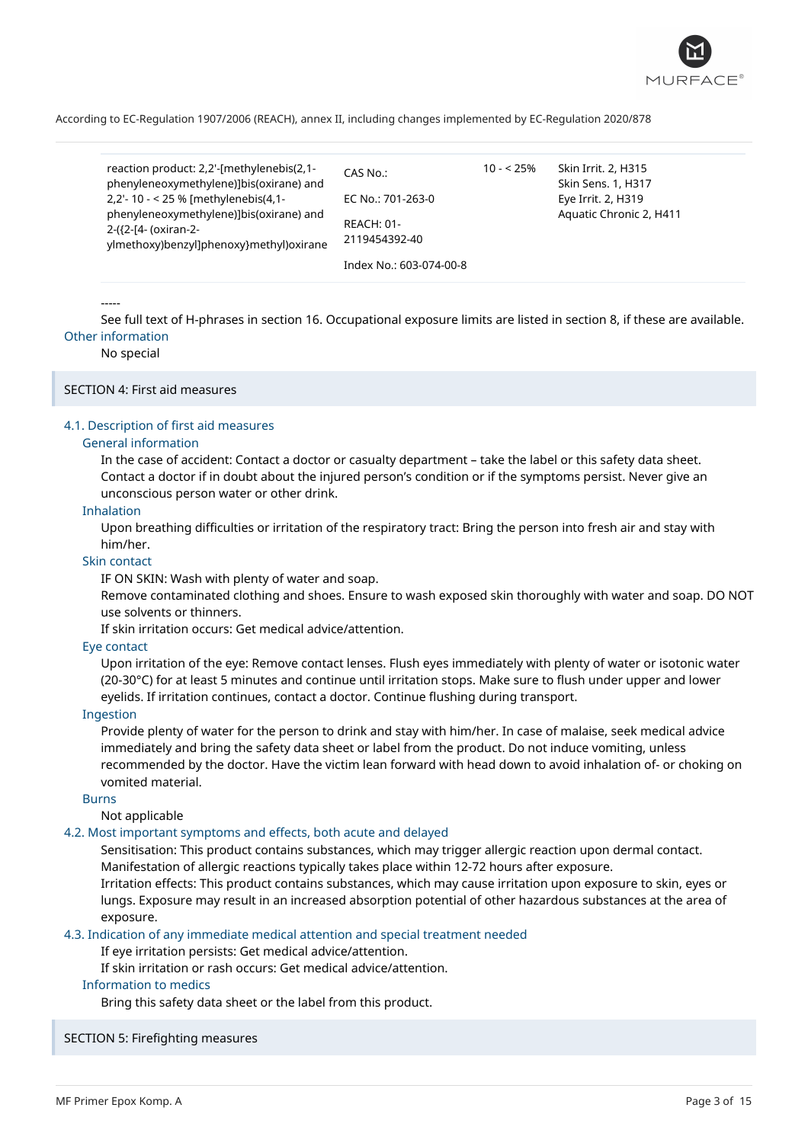

| reaction product: 2,2'-[methylenebis(2,1-<br>phenyleneoxymethylene)]bis(oxirane) and                       | CAS No.:                           |
|------------------------------------------------------------------------------------------------------------|------------------------------------|
| 2,2'-10 - < 25 % [methylenebis(4,1-                                                                        | EC No.: 701-263-0                  |
| phenyleneoxymethylene)]bis(oxirane) and<br>2-({2-[4- (oxiran-2-<br>ylmethoxy)benzyl]phenoxy}methyl)oxirane | <b>REACH: 01-</b><br>2119454392-40 |
|                                                                                                            | Index No : 603-074-00-8            |

10 - < 25% Skin Irrit. 2, H315 Skin Sens. 1, H317 Eye Irrit. 2, H319 Aquatic Chronic 2, H411

### -----

See full text of H-phrases in section 16. Occupational exposure limits are listed in section 8, if these are available. Other information

### No special

### SECTION 4: First aid measures

### 4.1. Description of first aid measures

### General information

In the case of accident: Contact a doctor or casualty department – take the label or this safety data sheet. Contact a doctor if in doubt about the injured person's condition or if the symptoms persist. Never give an unconscious person water or other drink.

### Inhalation

Upon breathing difficulties or irritation of the respiratory tract: Bring the person into fresh air and stay with him/her.

#### Skin contact

IF ON SKIN: Wash with plenty of water and soap.

Remove contaminated clothing and shoes. Ensure to wash exposed skin thoroughly with water and soap. DO NOT use solvents or thinners.

If skin irritation occurs: Get medical advice/attention.

### Eye contact

Upon irritation of the eye: Remove contact lenses. Flush eyes immediately with plenty of water or isotonic water (20-30°C) for at least 5 minutes and continue until irritation stops. Make sure to flush under upper and lower eyelids. If irritation continues, contact a doctor. Continue flushing during transport.

### Ingestion

Provide plenty of water for the person to drink and stay with him/her. In case of malaise, seek medical advice immediately and bring the safety data sheet or label from the product. Do not induce vomiting, unless recommended by the doctor. Have the victim lean forward with head down to avoid inhalation of- or choking on vomited material.

### Burns

Not applicable

### 4.2. Most important symptoms and effects, both acute and delayed

Sensitisation: This product contains substances, which may trigger allergic reaction upon dermal contact. Manifestation of allergic reactions typically takes place within 12-72 hours after exposure.

Irritation effects: This product contains substances, which may cause irritation upon exposure to skin, eyes or lungs. Exposure may result in an increased absorption potential of other hazardous substances at the area of exposure.

4.3. Indication of any immediate medical attention and special treatment needed

If eye irritation persists: Get medical advice/attention.

If skin irritation or rash occurs: Get medical advice/attention.

### Information to medics

Bring this safety data sheet or the label from this product.

### SECTION 5: Firefighting measures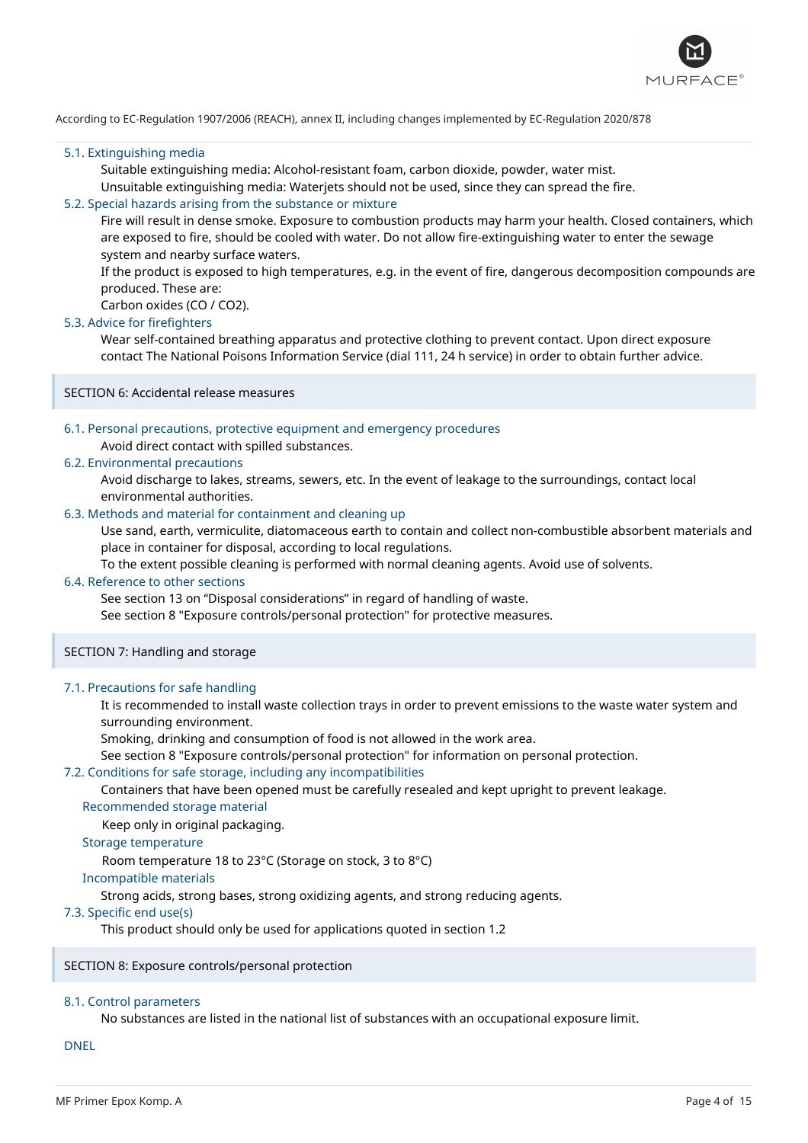

### 5.1. Extinguishing media

Suitable extinguishing media: Alcohol-resistant foam, carbon dioxide, powder, water mist.

# Unsuitable extinguishing media: Waterjets should not be used, since they can spread the fire.

### 5.2. Special hazards arising from the substance or mixture

Fire will result in dense smoke. Exposure to combustion products may harm your health. Closed containers, which are exposed to fire, should be cooled with water. Do not allow fire-extinguishing water to enter the sewage system and nearby surface waters.

If the product is exposed to high temperatures, e.g. in the event of fire, dangerous decomposition compounds are produced. These are:

Carbon oxides (CO / CO2).

### 5.3. Advice for firefighters

Wear self-contained breathing apparatus and protective clothing to prevent contact. Upon direct exposure contact The National Poisons Information Service (dial 111, 24 h service) in order to obtain further advice.

SECTION 6: Accidental release measures

### 6.1. Personal precautions, protective equipment and emergency procedures

### Avoid direct contact with spilled substances.

### 6.2. Environmental precautions

Avoid discharge to lakes, streams, sewers, etc. In the event of leakage to the surroundings, contact local environmental authorities.

### 6.3. Methods and material for containment and cleaning up

Use sand, earth, vermiculite, diatomaceous earth to contain and collect non-combustible absorbent materials and place in container for disposal, according to local regulations.

To the extent possible cleaning is performed with normal cleaning agents. Avoid use of solvents.

### 6.4. Reference to other sections

See section 13 on "Disposal considerations" in regard of handling of waste.

See section 8 "Exposure controls/personal protection" for protective measures.

### SECTION 7: Handling and storage

#### 7.1. Precautions for safe handling

It is recommended to install waste collection trays in order to prevent emissions to the waste water system and surrounding environment.

Smoking, drinking and consumption of food is not allowed in the work area.

See section 8 "Exposure controls/personal protection" for information on personal protection.

### 7.2. Conditions for safe storage, including any incompatibilities

Containers that have been opened must be carefully resealed and kept upright to prevent leakage.

Recommended storage material

Keep only in original packaging.

### Storage temperature

Room temperature 18 to 23°C (Storage on stock, 3 to 8°C)

#### Incompatible materials

Strong acids, strong bases, strong oxidizing agents, and strong reducing agents.

### 7.3. Specific end use(s)

This product should only be used for applications quoted in section 1.2

### SECTION 8: Exposure controls/personal protection

### 8.1. Control parameters

No substances are listed in the national list of substances with an occupational exposure limit.

DNEL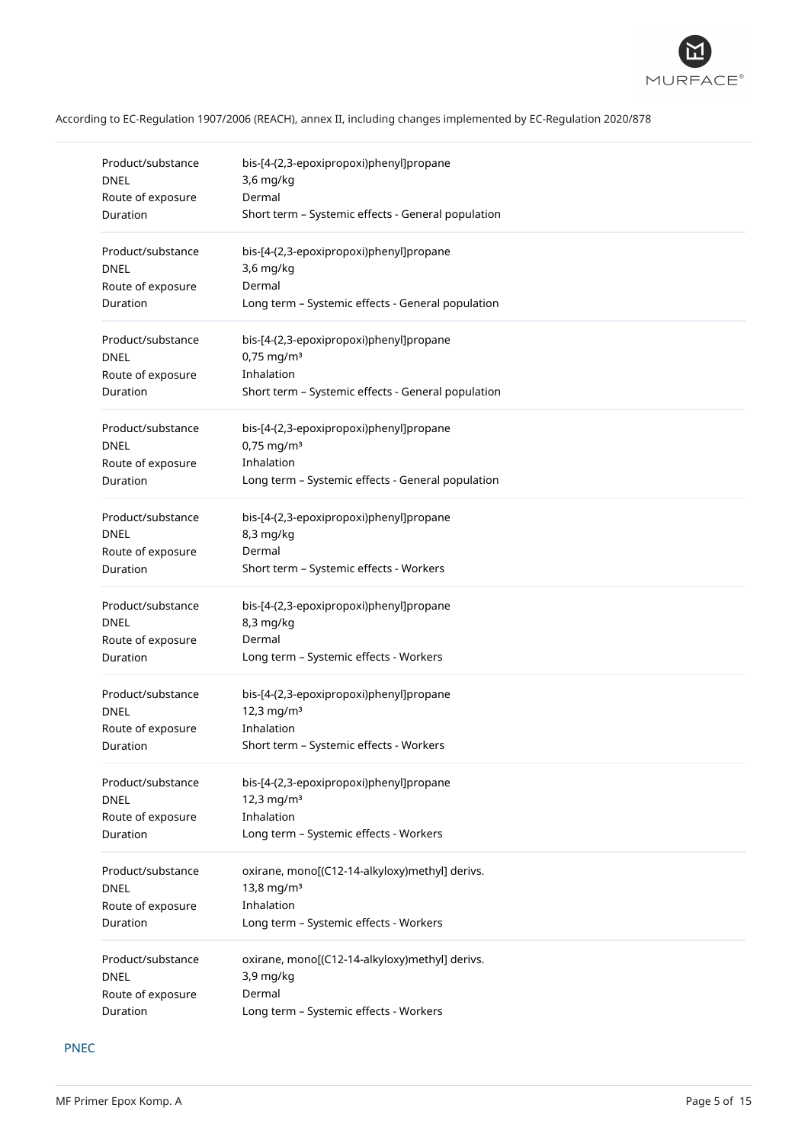

| Product/substance | bis-[4-(2,3-epoxipropoxi)phenyl]propane            |
|-------------------|----------------------------------------------------|
| <b>DNEL</b>       | 3,6 mg/kg                                          |
| Route of exposure | Dermal                                             |
| Duration          | Short term - Systemic effects - General population |
| Product/substance | bis-[4-(2,3-epoxipropoxi)phenyl]propane            |
| <b>DNEL</b>       | 3,6 mg/kg                                          |
| Route of exposure | Dermal                                             |
| Duration          | Long term - Systemic effects - General population  |
| Product/substance | bis-[4-(2,3-epoxipropoxi)phenyl]propane            |
| <b>DNEL</b>       | $0,75$ mg/m <sup>3</sup>                           |
| Route of exposure | Inhalation                                         |
| Duration          | Short term - Systemic effects - General population |
| Product/substance | bis-[4-(2,3-epoxipropoxi)phenyl]propane            |
| <b>DNEL</b>       | $0,75$ mg/m <sup>3</sup>                           |
| Route of exposure | Inhalation                                         |
| Duration          | Long term - Systemic effects - General population  |
| Product/substance | bis-[4-(2,3-epoxipropoxi)phenyl]propane            |
| DNEL              | 8,3 mg/kg                                          |
| Route of exposure | Dermal                                             |
| Duration          | Short term - Systemic effects - Workers            |
| Product/substance | bis-[4-(2,3-epoxipropoxi)phenyl]propane            |
| <b>DNEL</b>       | 8,3 mg/kg                                          |
| Route of exposure | Dermal                                             |
| Duration          | Long term - Systemic effects - Workers             |
| Product/substance | bis-[4-(2,3-epoxipropoxi)phenyl]propane            |
| <b>DNEL</b>       | 12,3 mg/m <sup>3</sup>                             |
| Route of exposure | Inhalation                                         |
| Duration          | Short term - Systemic effects - Workers            |
| Product/substance | bis-[4-(2,3-epoxipropoxi)phenyl]propane            |
| <b>DNEL</b>       | 12,3 mg/m <sup>3</sup>                             |
| Route of exposure | Inhalation                                         |
| Duration          | Long term - Systemic effects - Workers             |
| Product/substance | oxirane, mono[(C12-14-alkyloxy)methyl] derivs.     |
| DNEL              | 13,8 mg/m <sup>3</sup>                             |
| Route of exposure | Inhalation                                         |
| Duration          | Long term - Systemic effects - Workers             |
| Product/substance | oxirane, mono[(C12-14-alkyloxy)methyl] derivs.     |
| <b>DNEL</b>       | 3,9 mg/kg                                          |
| Route of exposure | Dermal                                             |
| Duration          | Long term - Systemic effects - Workers             |

# PNEC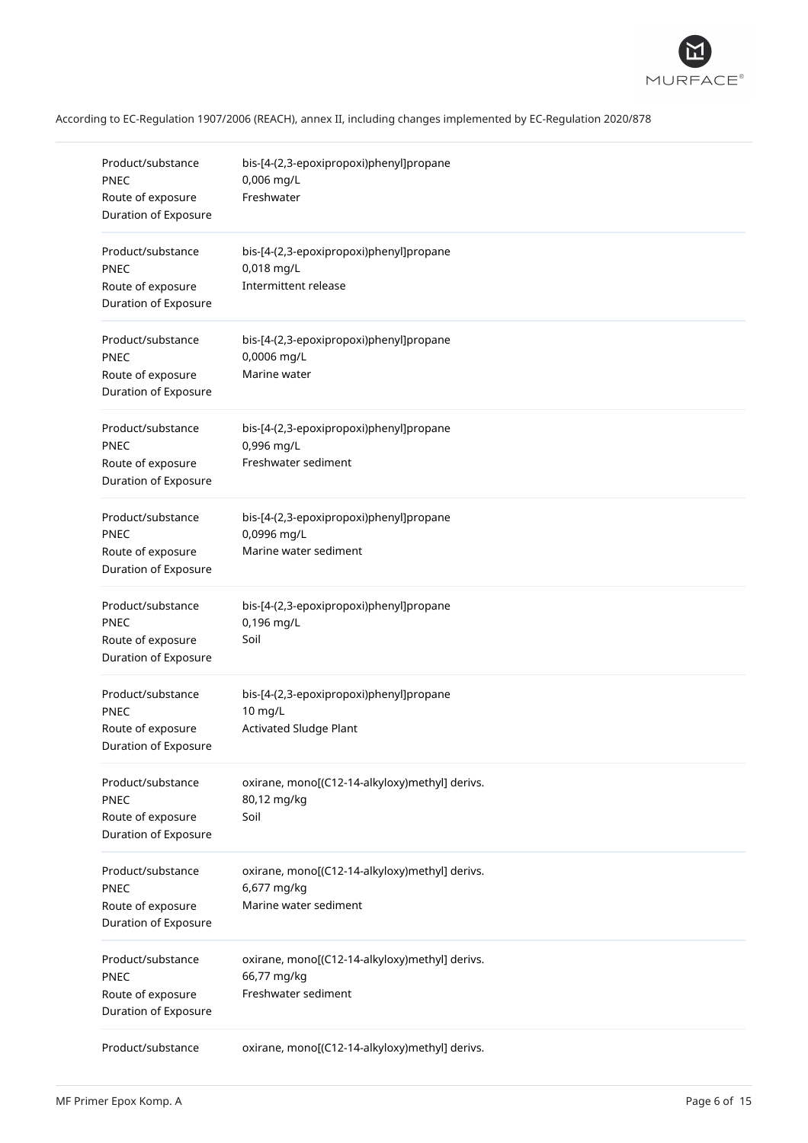

| Product/substance<br><b>PNEC</b><br>Route of exposure<br>Duration of Exposure | bis-[4-(2,3-epoxipropoxi)phenyl]propane<br>0,006 mg/L<br>Freshwater                    |
|-------------------------------------------------------------------------------|----------------------------------------------------------------------------------------|
| Product/substance<br><b>PNEC</b><br>Route of exposure<br>Duration of Exposure | bis-[4-(2,3-epoxipropoxi)phenyl]propane<br>0,018 mg/L<br>Intermittent release          |
| Product/substance<br><b>PNEC</b><br>Route of exposure<br>Duration of Exposure | bis-[4-(2,3-epoxipropoxi)phenyl]propane<br>0,0006 mg/L<br>Marine water                 |
| Product/substance<br>PNEC<br>Route of exposure<br>Duration of Exposure        | bis-[4-(2,3-epoxipropoxi)phenyl]propane<br>0,996 mg/L<br>Freshwater sediment           |
| Product/substance<br><b>PNEC</b><br>Route of exposure<br>Duration of Exposure | bis-[4-(2,3-epoxipropoxi)phenyl]propane<br>0,0996 mg/L<br>Marine water sediment        |
| Product/substance<br>PNEC<br>Route of exposure<br>Duration of Exposure        | bis-[4-(2,3-epoxipropoxi)phenyl]propane<br>0,196 mg/L<br>Soil                          |
| Product/substance<br>PNEC<br>Route of exposure<br>Duration of Exposure        | bis-[4-(2,3-epoxipropoxi)phenyl]propane<br>10 mg/L<br><b>Activated Sludge Plant</b>    |
| Product/substance<br>PNEC<br>Route of exposure<br>Duration of Exposure        | oxirane, mono[(C12-14-alkyloxy)methyl] derivs.<br>80,12 mg/kg<br>Soil                  |
| Product/substance<br><b>PNEC</b><br>Route of exposure<br>Duration of Exposure | oxirane, mono[(C12-14-alkyloxy)methyl] derivs.<br>6,677 mg/kg<br>Marine water sediment |
| Product/substance<br><b>PNEC</b><br>Route of exposure<br>Duration of Exposure | oxirane, mono[(C12-14-alkyloxy)methyl] derivs.<br>66,77 mg/kg<br>Freshwater sediment   |
| Product/substance                                                             | oxirane, mono[(C12-14-alkyloxy)methyl] derivs.                                         |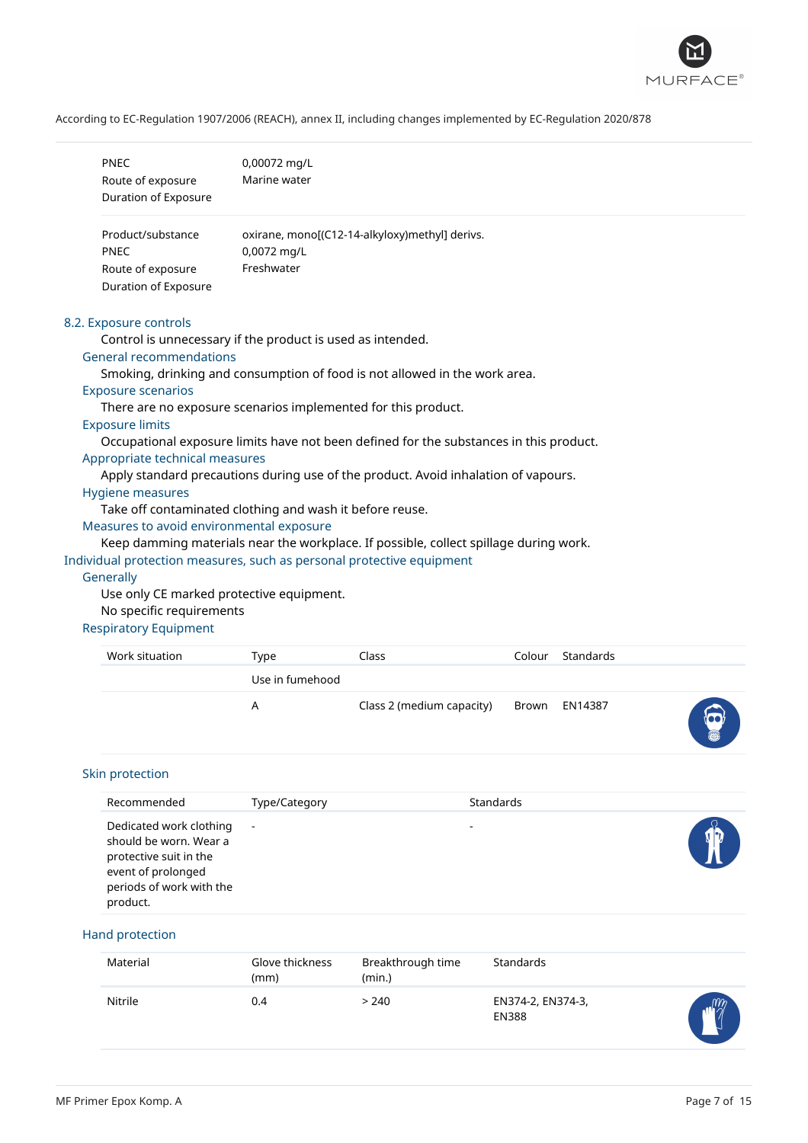

| PNEC<br>Route of exposure<br>Duration of Exposure                                     | 0,00072 mg/L<br>Marine water                                                           |  |  |  |
|---------------------------------------------------------------------------------------|----------------------------------------------------------------------------------------|--|--|--|
|                                                                                       |                                                                                        |  |  |  |
| Product/substance                                                                     | oxirane, mono[(C12-14-alkyloxy)methyl] derivs.                                         |  |  |  |
| <b>PNEC</b>                                                                           | 0,0072 mg/L                                                                            |  |  |  |
| Route of exposure                                                                     | Freshwater                                                                             |  |  |  |
| Duration of Exposure                                                                  |                                                                                        |  |  |  |
| 8.2. Exposure controls                                                                |                                                                                        |  |  |  |
|                                                                                       | Control is unnecessary if the product is used as intended.                             |  |  |  |
| <b>General recommendations</b>                                                        |                                                                                        |  |  |  |
| Smoking, drinking and consumption of food is not allowed in the work area.            |                                                                                        |  |  |  |
| <b>Exposure scenarios</b>                                                             |                                                                                        |  |  |  |
| There are no exposure scenarios implemented for this product.                         |                                                                                        |  |  |  |
| <b>Exposure limits</b>                                                                |                                                                                        |  |  |  |
|                                                                                       | Occupational exposure limits have not been defined for the substances in this product. |  |  |  |
| Appropriate technical measures                                                        |                                                                                        |  |  |  |
| Apply standard precautions during use of the product. Avoid inhalation of vapours.    |                                                                                        |  |  |  |
| <b>Hygiene measures</b>                                                               |                                                                                        |  |  |  |
|                                                                                       | Take off contaminated clothing and wash it before reuse.                               |  |  |  |
| Measures to avoid environmental exposure                                              |                                                                                        |  |  |  |
| Keep damming materials near the workplace. If possible, collect spillage during work. |                                                                                        |  |  |  |
| Individual protection measures, such as personal protective equipment                 |                                                                                        |  |  |  |
| Generally                                                                             |                                                                                        |  |  |  |
| Use only CE marked protective equipment.                                              |                                                                                        |  |  |  |
| No specific requirements                                                              |                                                                                        |  |  |  |

# Respiratory Equipment

| Work situation | Type            | Class                     | Colour | Standards     |  |
|----------------|-----------------|---------------------------|--------|---------------|--|
|                | Use in fumehood |                           |        |               |  |
|                | А               | Class 2 (medium capacity) |        | Brown EN14387 |  |

# Skin protection

| Recommended                                                                                                                               | Type/Category | <b>Standards</b> |  |
|-------------------------------------------------------------------------------------------------------------------------------------------|---------------|------------------|--|
| Dedicated work clothing<br>should be worn. Wear a<br>protective suit in the<br>event of prolonged<br>periods of work with the<br>product. | $\sim$        | -                |  |

# Hand protection

| Material | Glove thickness<br>(mm) | Breakthrough time<br>(min.) | Standards                         |            |
|----------|-------------------------|-----------------------------|-----------------------------------|------------|
| Nitrile  | 0.4                     | > 240                       | EN374-2, EN374-3,<br><b>EN388</b> | $\sqrt{m}$ |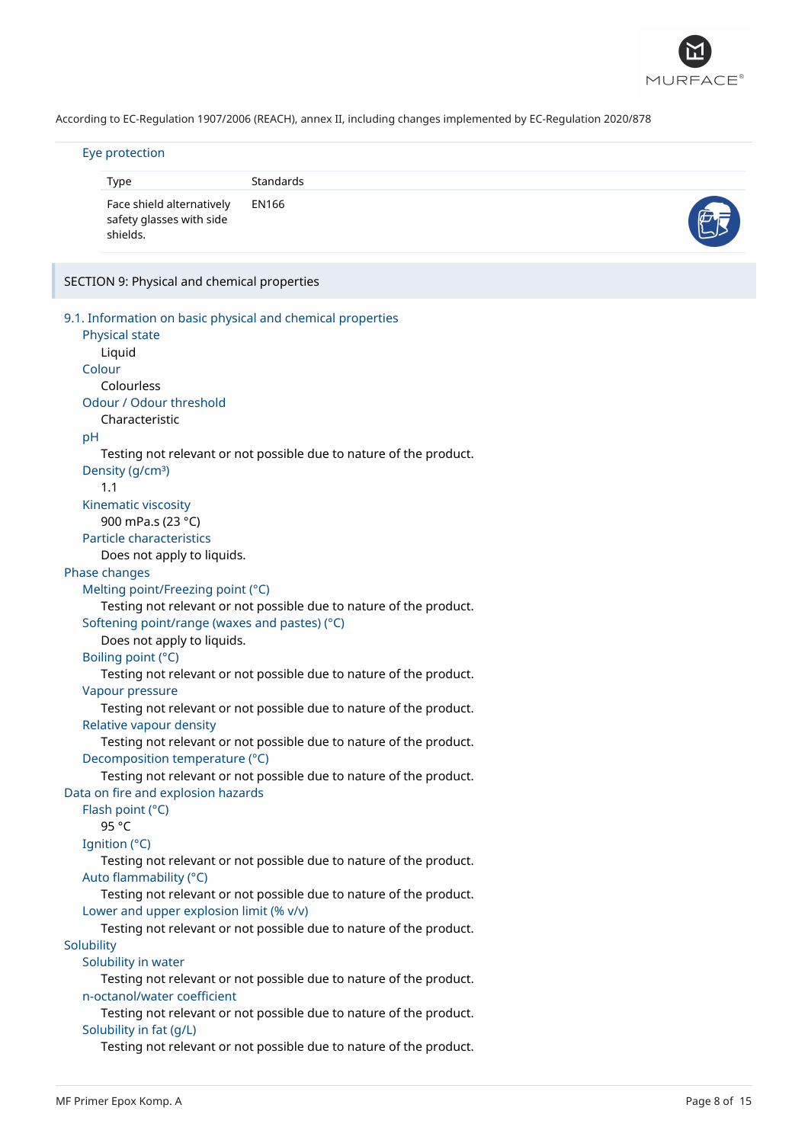

#### Eye protection

| Eye protection                                                                                                                                                                                                                  |                                                                    |  |  |  |
|---------------------------------------------------------------------------------------------------------------------------------------------------------------------------------------------------------------------------------|--------------------------------------------------------------------|--|--|--|
| Type                                                                                                                                                                                                                            | Standards                                                          |  |  |  |
| Face shield alternatively<br>safety glasses with side<br>shields.                                                                                                                                                               | EN166                                                              |  |  |  |
| SECTION 9: Physical and chemical properties                                                                                                                                                                                     |                                                                    |  |  |  |
| 9.1. Information on basic physical and chemical properties<br>Physical state<br>Liquid<br>Colour<br>Colourless<br>Odour / Odour threshold<br>Characteristic<br>pH<br>Density (g/cm <sup>3</sup> )<br>1.1<br>Kinematic viscosity | Testing not relevant or not possible due to nature of the product. |  |  |  |

900 mPa.s (23 °C)

Particle characteristics

Does not apply to liquids.

# Phase changes

Melting point/Freezing point (°C)

Testing not relevant or not possible due to nature of the product.

Softening point/range (waxes and pastes) (°C)

Does not apply to liquids.

# Boiling point (°C)

Testing not relevant or not possible due to nature of the product.

Vapour pressure

Testing not relevant or not possible due to nature of the product. Relative vapour density

Testing not relevant or not possible due to nature of the product. Decomposition temperature (°C)

Testing not relevant or not possible due to nature of the product. Data on fire and explosion hazards

Flash point (°C)

95 °C

Ignition (°C)

Testing not relevant or not possible due to nature of the product. Auto flammability (°C)

Testing not relevant or not possible due to nature of the product. Lower and upper explosion limit (% v/v)

Testing not relevant or not possible due to nature of the product. **Solubility** 

Solubility in water

Testing not relevant or not possible due to nature of the product. n-octanol/water coefficient

Testing not relevant or not possible due to nature of the product. Solubility in fat (g/L)

Testing not relevant or not possible due to nature of the product.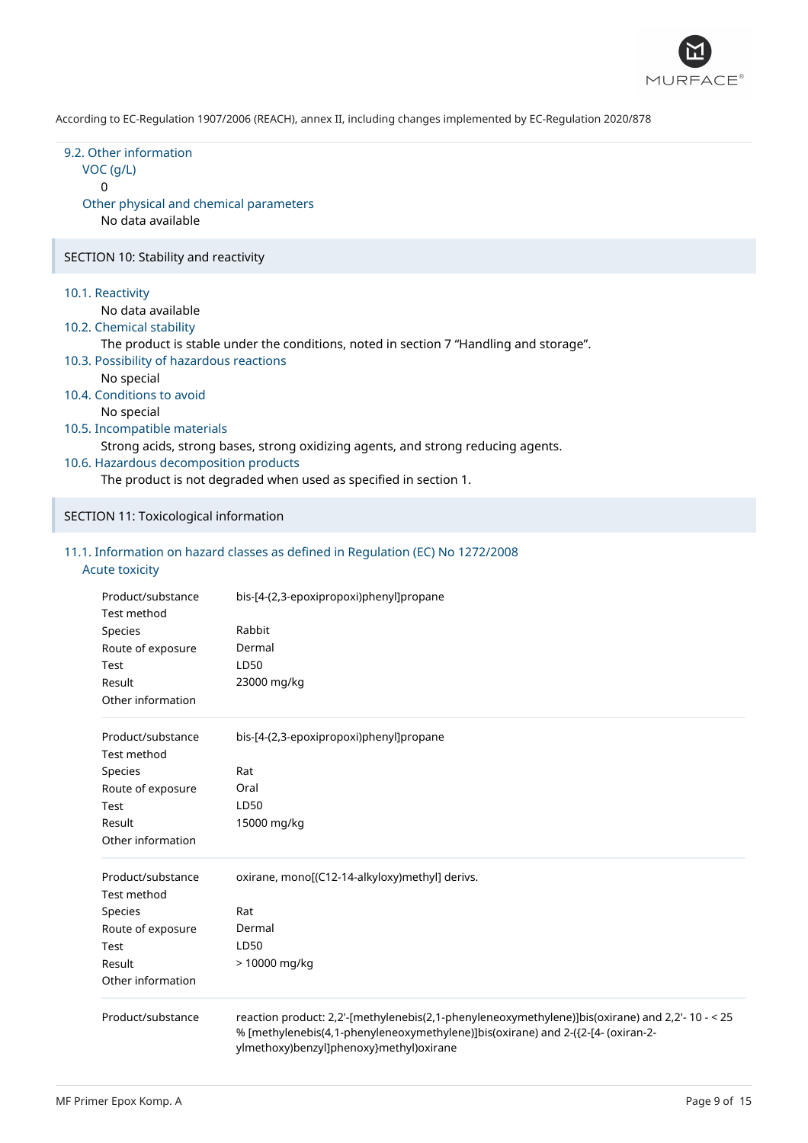

| 9.2. Other information<br>$VOC$ ( $g/L$ )<br>0<br>Other physical and chemical parameters<br>No data available                                                                                                                                                                                                                                                                                                                                                                                      |
|----------------------------------------------------------------------------------------------------------------------------------------------------------------------------------------------------------------------------------------------------------------------------------------------------------------------------------------------------------------------------------------------------------------------------------------------------------------------------------------------------|
| SECTION 10: Stability and reactivity                                                                                                                                                                                                                                                                                                                                                                                                                                                               |
| 10.1. Reactivity<br>No data available<br>10.2. Chemical stability<br>The product is stable under the conditions, noted in section 7 "Handling and storage".<br>10.3. Possibility of hazardous reactions<br>No special<br>10.4. Conditions to avoid<br>No special<br>10.5. Incompatible materials<br>Strong acids, strong bases, strong oxidizing agents, and strong reducing agents.<br>10.6. Hazardous decomposition products<br>The product is not degraded when used as specified in section 1. |
| SECTION 11: Toxicological information                                                                                                                                                                                                                                                                                                                                                                                                                                                              |

# 11.1. Information on hazard classes as defined in Regulation (EC) No 1272/2008 Acute toxicity

| Product/substance<br>Test method<br>Species<br>Route of exposure<br>Test<br>Result<br>Other information | bis-[4-(2,3-epoxipropoxi)phenyl]propane<br>Rabbit<br>Dermal<br>LD50<br>23000 mg/kg                                                                                                                                              |
|---------------------------------------------------------------------------------------------------------|---------------------------------------------------------------------------------------------------------------------------------------------------------------------------------------------------------------------------------|
| Product/substance                                                                                       | bis-[4-(2,3-epoxipropoxi)phenyl]propane                                                                                                                                                                                         |
| Test method                                                                                             |                                                                                                                                                                                                                                 |
| Species                                                                                                 | Rat<br>Oral                                                                                                                                                                                                                     |
| Route of exposure                                                                                       | LD50                                                                                                                                                                                                                            |
| Test<br>Result                                                                                          | 15000 mg/kg                                                                                                                                                                                                                     |
| Other information                                                                                       |                                                                                                                                                                                                                                 |
| Product/substance<br>Test method                                                                        | oxirane, mono[(C12-14-alkyloxy)methyl] derivs.                                                                                                                                                                                  |
| Species                                                                                                 | Rat                                                                                                                                                                                                                             |
| Route of exposure                                                                                       | Dermal                                                                                                                                                                                                                          |
| Test                                                                                                    | LD50                                                                                                                                                                                                                            |
| Result                                                                                                  | > 10000 mg/kg                                                                                                                                                                                                                   |
| Other information                                                                                       |                                                                                                                                                                                                                                 |
| Product/substance                                                                                       | reaction product: 2,2'-[methylenebis(2,1-phenyleneoxymethylene)]bis(oxirane) and 2,2'- 10 - < 25<br>% [methylenebis(4,1-phenyleneoxymethylene)]bis(oxirane) and 2-({2-[4- (oxiran-2-<br>ylmethoxy)benzyl]phenoxy}methyl)oxirane |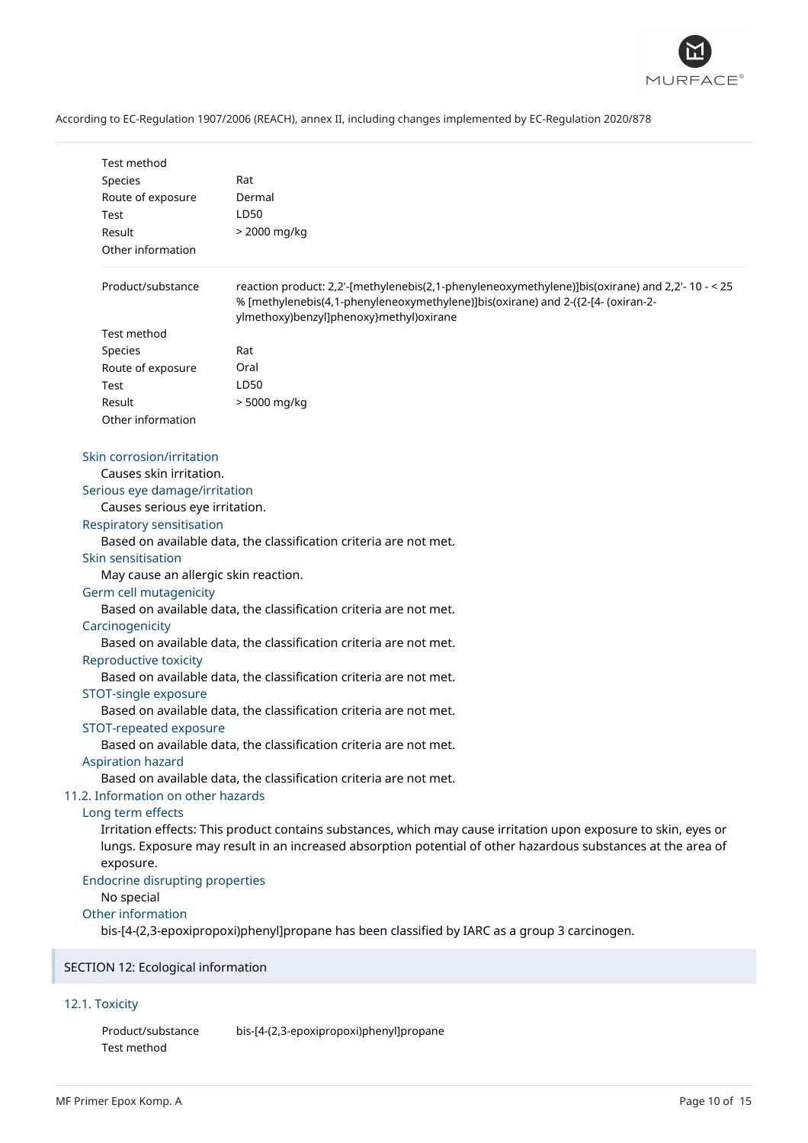

| <b>Test method</b>                                                                                                                                                                                                                                                                                                                                                                                                                                                                                                                                                                                                                                                                                                                                                                                                                                                                                                                                                                                                                                                                                                                                                                                                                                                                                                                                                       |                                                                                                                                                                                                                                 |  |
|--------------------------------------------------------------------------------------------------------------------------------------------------------------------------------------------------------------------------------------------------------------------------------------------------------------------------------------------------------------------------------------------------------------------------------------------------------------------------------------------------------------------------------------------------------------------------------------------------------------------------------------------------------------------------------------------------------------------------------------------------------------------------------------------------------------------------------------------------------------------------------------------------------------------------------------------------------------------------------------------------------------------------------------------------------------------------------------------------------------------------------------------------------------------------------------------------------------------------------------------------------------------------------------------------------------------------------------------------------------------------|---------------------------------------------------------------------------------------------------------------------------------------------------------------------------------------------------------------------------------|--|
| Species                                                                                                                                                                                                                                                                                                                                                                                                                                                                                                                                                                                                                                                                                                                                                                                                                                                                                                                                                                                                                                                                                                                                                                                                                                                                                                                                                                  | Rat                                                                                                                                                                                                                             |  |
| Route of exposure                                                                                                                                                                                                                                                                                                                                                                                                                                                                                                                                                                                                                                                                                                                                                                                                                                                                                                                                                                                                                                                                                                                                                                                                                                                                                                                                                        | Dermal                                                                                                                                                                                                                          |  |
| Test                                                                                                                                                                                                                                                                                                                                                                                                                                                                                                                                                                                                                                                                                                                                                                                                                                                                                                                                                                                                                                                                                                                                                                                                                                                                                                                                                                     | LD50                                                                                                                                                                                                                            |  |
| Result                                                                                                                                                                                                                                                                                                                                                                                                                                                                                                                                                                                                                                                                                                                                                                                                                                                                                                                                                                                                                                                                                                                                                                                                                                                                                                                                                                   | > 2000 mg/kg                                                                                                                                                                                                                    |  |
| Other information                                                                                                                                                                                                                                                                                                                                                                                                                                                                                                                                                                                                                                                                                                                                                                                                                                                                                                                                                                                                                                                                                                                                                                                                                                                                                                                                                        |                                                                                                                                                                                                                                 |  |
|                                                                                                                                                                                                                                                                                                                                                                                                                                                                                                                                                                                                                                                                                                                                                                                                                                                                                                                                                                                                                                                                                                                                                                                                                                                                                                                                                                          |                                                                                                                                                                                                                                 |  |
| Product/substance                                                                                                                                                                                                                                                                                                                                                                                                                                                                                                                                                                                                                                                                                                                                                                                                                                                                                                                                                                                                                                                                                                                                                                                                                                                                                                                                                        | reaction product: 2,2'-[methylenebis(2,1-phenyleneoxymethylene)]bis(oxirane) and 2,2'- 10 - < 25<br>% [methylenebis(4,1-phenyleneoxymethylene)]bis(oxirane) and 2-({2-[4- (oxiran-2-<br>ylmethoxy)benzyl]phenoxy}methyl)oxirane |  |
| Test method                                                                                                                                                                                                                                                                                                                                                                                                                                                                                                                                                                                                                                                                                                                                                                                                                                                                                                                                                                                                                                                                                                                                                                                                                                                                                                                                                              |                                                                                                                                                                                                                                 |  |
| Species                                                                                                                                                                                                                                                                                                                                                                                                                                                                                                                                                                                                                                                                                                                                                                                                                                                                                                                                                                                                                                                                                                                                                                                                                                                                                                                                                                  | Rat                                                                                                                                                                                                                             |  |
| Route of exposure                                                                                                                                                                                                                                                                                                                                                                                                                                                                                                                                                                                                                                                                                                                                                                                                                                                                                                                                                                                                                                                                                                                                                                                                                                                                                                                                                        | Oral                                                                                                                                                                                                                            |  |
| Test                                                                                                                                                                                                                                                                                                                                                                                                                                                                                                                                                                                                                                                                                                                                                                                                                                                                                                                                                                                                                                                                                                                                                                                                                                                                                                                                                                     | LD50                                                                                                                                                                                                                            |  |
| Result                                                                                                                                                                                                                                                                                                                                                                                                                                                                                                                                                                                                                                                                                                                                                                                                                                                                                                                                                                                                                                                                                                                                                                                                                                                                                                                                                                   | > 5000 mg/kg                                                                                                                                                                                                                    |  |
| Other information                                                                                                                                                                                                                                                                                                                                                                                                                                                                                                                                                                                                                                                                                                                                                                                                                                                                                                                                                                                                                                                                                                                                                                                                                                                                                                                                                        |                                                                                                                                                                                                                                 |  |
| Skin corrosion/irritation<br>Causes skin irritation.<br>Serious eye damage/irritation<br>Causes serious eye irritation.<br><b>Respiratory sensitisation</b><br>Based on available data, the classification criteria are not met.<br>Skin sensitisation<br>May cause an allergic skin reaction.<br>Germ cell mutagenicity<br>Based on available data, the classification criteria are not met.<br>Carcinogenicity<br>Based on available data, the classification criteria are not met.<br>Reproductive toxicity<br>Based on available data, the classification criteria are not met.<br>STOT-single exposure<br>Based on available data, the classification criteria are not met.<br>STOT-repeated exposure<br>Based on available data, the classification criteria are not met.<br><b>Aspiration hazard</b><br>Based on available data, the classification criteria are not met.<br>11.2. Information on other hazards<br>Long term effects<br>Irritation effects: This product contains substances, which may cause irritation upon exposure to skin, eyes or<br>lungs. Exposure may result in an increased absorption potential of other hazardous substances at the area of<br>exposure.<br><b>Endocrine disrupting properties</b><br>No special<br>Other information<br>bis-[4-(2,3-epoxipropoxi)phenyl]propane has been classified by IARC as a group 3 carcinogen. |                                                                                                                                                                                                                                 |  |
|                                                                                                                                                                                                                                                                                                                                                                                                                                                                                                                                                                                                                                                                                                                                                                                                                                                                                                                                                                                                                                                                                                                                                                                                                                                                                                                                                                          |                                                                                                                                                                                                                                 |  |
| SECTION 12: Ecological information                                                                                                                                                                                                                                                                                                                                                                                                                                                                                                                                                                                                                                                                                                                                                                                                                                                                                                                                                                                                                                                                                                                                                                                                                                                                                                                                       |                                                                                                                                                                                                                                 |  |

# 12.1. Toxicity

Product/substance bis-[4-(2,3-epoxipropoxi)phenyl]propane Test method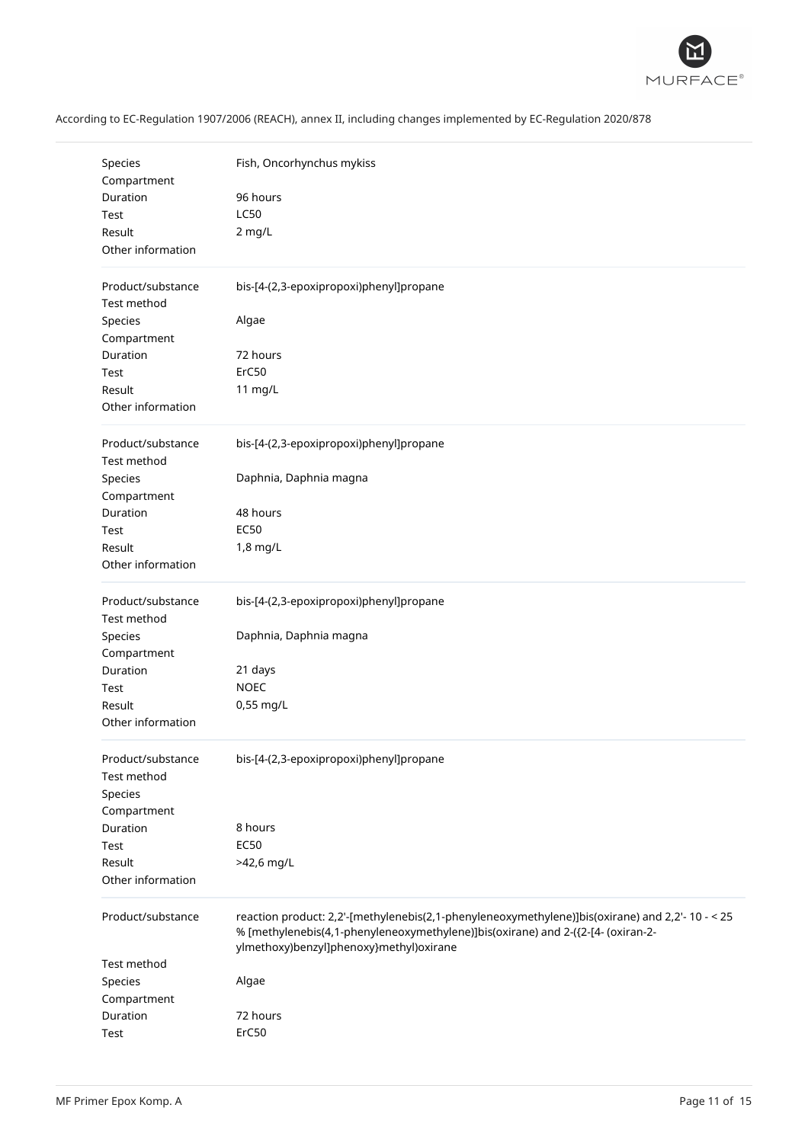

|  |  |  | According to EC-Regulation 1907/2006 (REACH), annex II, including changes implemented by EC-Regulation 2020/878 |
|--|--|--|-----------------------------------------------------------------------------------------------------------------|
|--|--|--|-----------------------------------------------------------------------------------------------------------------|

| Species<br>Compartment           | Fish, Oncorhynchus mykiss                                                                                                                                                                                                       |
|----------------------------------|---------------------------------------------------------------------------------------------------------------------------------------------------------------------------------------------------------------------------------|
| Duration                         | 96 hours                                                                                                                                                                                                                        |
| Test                             | <b>LC50</b>                                                                                                                                                                                                                     |
| Result                           | 2 mg/L                                                                                                                                                                                                                          |
| Other information                |                                                                                                                                                                                                                                 |
| Product/substance                | bis-[4-(2,3-epoxipropoxi)phenyl]propane                                                                                                                                                                                         |
| Test method                      |                                                                                                                                                                                                                                 |
| Species                          | Algae                                                                                                                                                                                                                           |
| Compartment                      |                                                                                                                                                                                                                                 |
| Duration                         | 72 hours                                                                                                                                                                                                                        |
| Test                             | ErC50                                                                                                                                                                                                                           |
| Result                           | 11 mg/L                                                                                                                                                                                                                         |
| Other information                |                                                                                                                                                                                                                                 |
| Product/substance<br>Test method | bis-[4-(2,3-epoxipropoxi)phenyl]propane                                                                                                                                                                                         |
| Species                          | Daphnia, Daphnia magna                                                                                                                                                                                                          |
| Compartment                      |                                                                                                                                                                                                                                 |
| Duration                         | 48 hours                                                                                                                                                                                                                        |
| Test                             | <b>EC50</b>                                                                                                                                                                                                                     |
| Result                           | 1,8 mg/L                                                                                                                                                                                                                        |
| Other information                |                                                                                                                                                                                                                                 |
| Product/substance<br>Test method | bis-[4-(2,3-epoxipropoxi)phenyl]propane                                                                                                                                                                                         |
| Species                          | Daphnia, Daphnia magna                                                                                                                                                                                                          |
| Compartment                      |                                                                                                                                                                                                                                 |
| Duration                         | 21 days                                                                                                                                                                                                                         |
| Test                             | <b>NOEC</b>                                                                                                                                                                                                                     |
| Result                           | 0,55 mg/L                                                                                                                                                                                                                       |
| Other information                |                                                                                                                                                                                                                                 |
| Product/substance                | bis-[4-(2,3-epoxipropoxi)phenyl]propane                                                                                                                                                                                         |
| Test method<br>Species           |                                                                                                                                                                                                                                 |
| Compartment                      |                                                                                                                                                                                                                                 |
| Duration                         | 8 hours                                                                                                                                                                                                                         |
| Test                             | <b>EC50</b>                                                                                                                                                                                                                     |
| Result                           | >42,6 mg/L                                                                                                                                                                                                                      |
| Other information                |                                                                                                                                                                                                                                 |
|                                  |                                                                                                                                                                                                                                 |
| Product/substance                | reaction product: 2,2'-[methylenebis(2,1-phenyleneoxymethylene)]bis(oxirane) and 2,2'- 10 - < 25<br>% [methylenebis(4,1-phenyleneoxymethylene)]bis(oxirane) and 2-({2-[4- (oxiran-2-<br>ylmethoxy)benzyl]phenoxy}methyl)oxirane |
| Test method                      |                                                                                                                                                                                                                                 |
| Species                          | Algae                                                                                                                                                                                                                           |
| Compartment                      |                                                                                                                                                                                                                                 |
| Duration                         | 72 hours                                                                                                                                                                                                                        |
| Test                             | ErC50                                                                                                                                                                                                                           |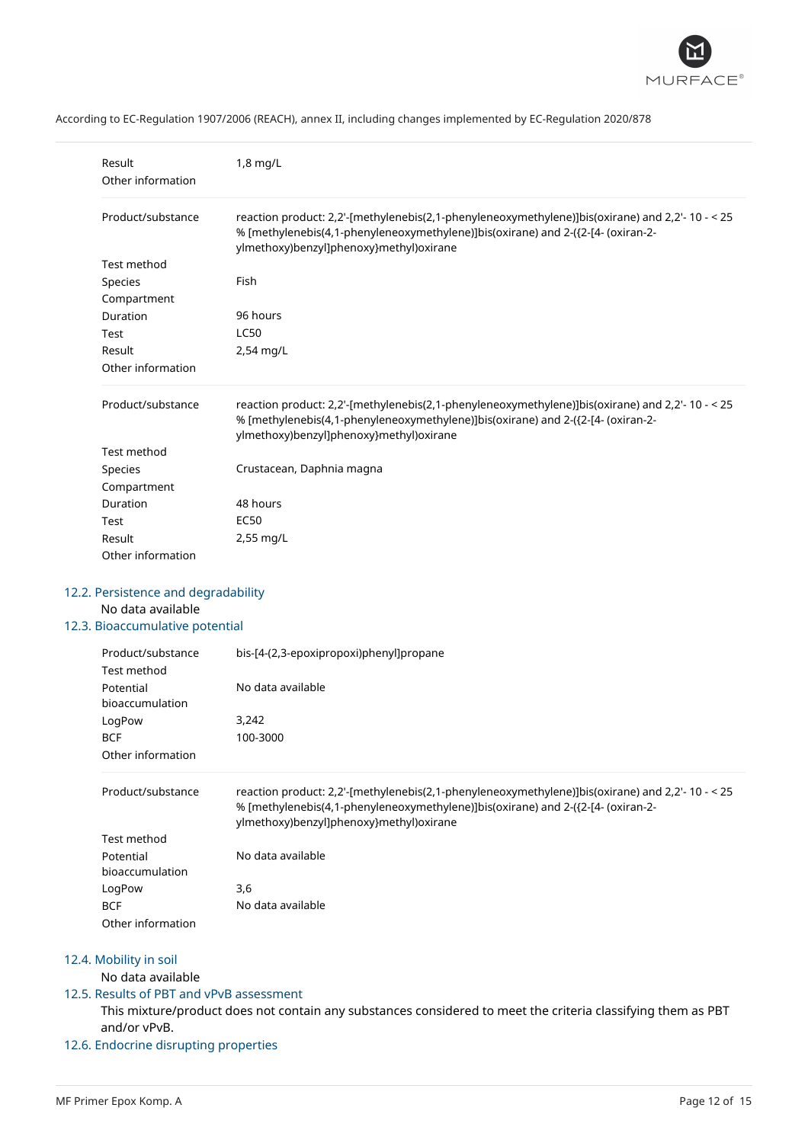

| Result<br>Other information | 1,8 mg/L                                                                                                                                                                                                                        |
|-----------------------------|---------------------------------------------------------------------------------------------------------------------------------------------------------------------------------------------------------------------------------|
| Product/substance           | reaction product: 2,2'-[methylenebis(2,1-phenyleneoxymethylene)]bis(oxirane) and 2,2'- 10 - < 25<br>% [methylenebis(4,1-phenyleneoxymethylene)]bis(oxirane) and 2-({2-[4- (oxiran-2-<br>ylmethoxy)benzyl]phenoxy}methyl)oxirane |
| Test method                 |                                                                                                                                                                                                                                 |
| Species                     | Fish                                                                                                                                                                                                                            |
| Compartment                 |                                                                                                                                                                                                                                 |
| Duration                    | 96 hours                                                                                                                                                                                                                        |
| Test                        | <b>LC50</b>                                                                                                                                                                                                                     |
| Result                      | 2,54 mg/L                                                                                                                                                                                                                       |
| Other information           |                                                                                                                                                                                                                                 |
| Product/substance           | reaction product: 2,2'-[methylenebis(2,1-phenyleneoxymethylene)]bis(oxirane) and 2,2'- 10 - < 25<br>% [methylenebis(4,1-phenyleneoxymethylene)]bis(oxirane) and 2-({2-[4- (oxiran-2-<br>ylmethoxy)benzyl]phenoxy}methyl)oxirane |
| Test method                 |                                                                                                                                                                                                                                 |
| Species                     | Crustacean, Daphnia magna                                                                                                                                                                                                       |
| Compartment                 |                                                                                                                                                                                                                                 |
|                             |                                                                                                                                                                                                                                 |
| Duration                    | 48 hours                                                                                                                                                                                                                        |
| Test                        | EC <sub>50</sub>                                                                                                                                                                                                                |
| Result                      | 2,55 mg/L                                                                                                                                                                                                                       |

### 12.2. Persistence and degradability

### No data available

# 12.3. Bioaccumulative potential

| Product/substance | bis-[4-(2,3-epoxipropoxi)phenyl]propane |
|-------------------|-----------------------------------------|
| Test method       |                                         |
| Potential         | No data available                       |
| bioaccumulation   |                                         |
| LogPow            | 3,242                                   |
| <b>BCF</b>        | 100-3000                                |
| Other information |                                         |

| Product/substance | reaction product: 2,2'-[methylenebis(2,1-phenyleneoxymethylene)]bis(oxirane) and 2,2'-10 - < 25<br>% [methylenebis(4,1-phenyleneoxymethylene)]bis(oxirane) and 2-({2-[4- (oxiran-2-<br>ylmethoxy)benzyl]phenoxy}methyl)oxirane |
|-------------------|--------------------------------------------------------------------------------------------------------------------------------------------------------------------------------------------------------------------------------|
| Test method       |                                                                                                                                                                                                                                |
| Potential         | No data available                                                                                                                                                                                                              |
| bioaccumulation   |                                                                                                                                                                                                                                |
| LogPow            | 3,6                                                                                                                                                                                                                            |
| <b>BCF</b>        | No data available                                                                                                                                                                                                              |
| Other information |                                                                                                                                                                                                                                |

# 12.4. Mobility in soil

# No data available

# 12.5. Results of PBT and vPvB assessment

This mixture/product does not contain any substances considered to meet the criteria classifying them as PBT and/or vPvB.

# 12.6. Endocrine disrupting properties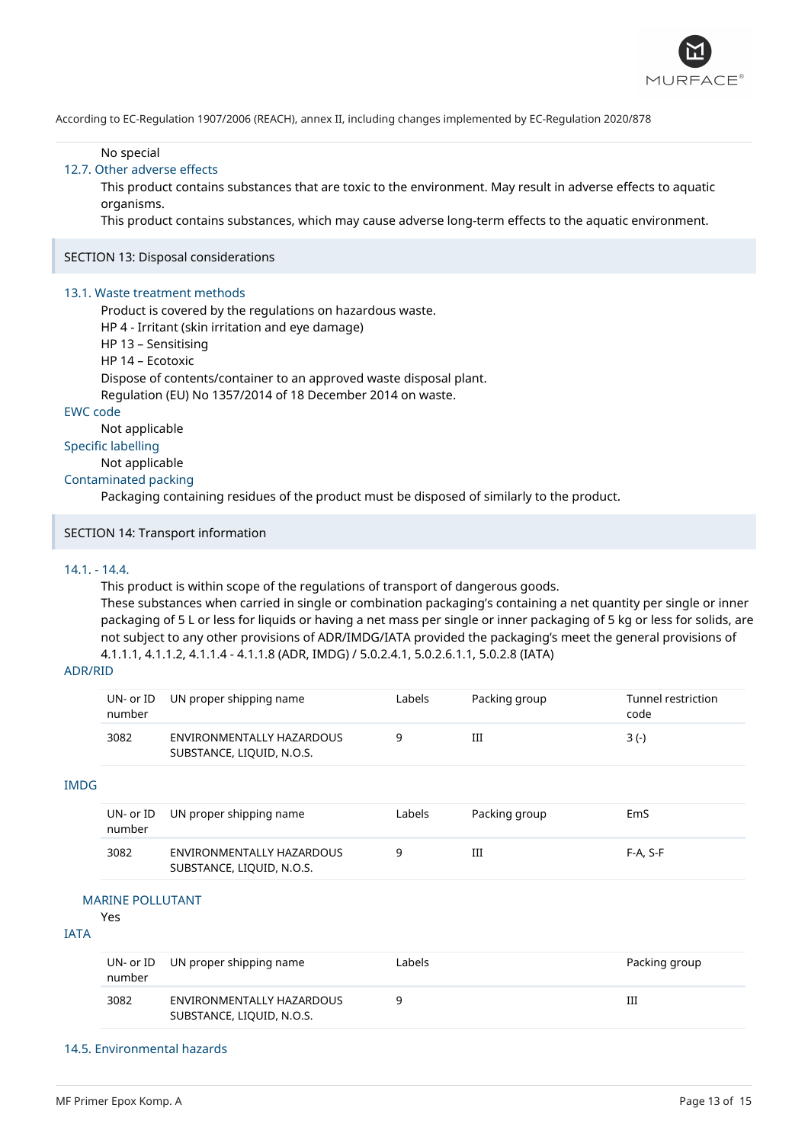

No special

### 12.7. Other adverse effects

This product contains substances that are toxic to the environment. May result in adverse effects to aquatic organisms.

This product contains substances, which may cause adverse long-term effects to the aquatic environment.

### SECTION 13: Disposal considerations

### 13.1. Waste treatment methods

Product is covered by the regulations on hazardous waste. HP 4 - Irritant (skin irritation and eye damage)

- HP 13 Sensitising
- HP 14 Ecotoxic
- 

Dispose of contents/container to an approved waste disposal plant.

Regulation (EU) No 1357/2014 of 18 December 2014 on waste.

# EWC code

Not applicable

# Specific labelling

Not applicable

### Contaminated packing

Packaging containing residues of the product must be disposed of similarly to the product.

### SECTION 14: Transport information

### 14.1. - 14.4.

This product is within scope of the regulations of transport of dangerous goods. These substances when carried in single or combination packaging's containing a net quantity per single or inner packaging of 5 L or less for liquids or having a net mass per single or inner packaging of 5 kg or less for solids, are not subject to any other provisions of ADR/IMDG/IATA provided the packaging's meet the general provisions of 4.1.1.1, 4.1.1.2, 4.1.1.4 - 4.1.1.8 (ADR, IMDG) / 5.0.2.4.1, 5.0.2.6.1.1, 5.0.2.8 (IATA)

### ADR/RID

| UN- or ID<br>number | UN proper shipping name                                | Labels | Packing group | Tunnel restriction<br>code |
|---------------------|--------------------------------------------------------|--------|---------------|----------------------------|
| 3082                | ENVIRONMENTALLY HAZARDOUS<br>SUBSTANCE, LIQUID, N.O.S. |        | Ш             | 3 (-)                      |

### IMDG

| number | UN- or ID UN proper shipping name                      | Labels | Packing group | EmS        |
|--------|--------------------------------------------------------|--------|---------------|------------|
| 3082   | ENVIRONMENTALLY HAZARDOUS<br>SUBSTANCE, LIQUID, N.O.S. |        | Ш             | $F-A. S-F$ |

### MARINE POLLUTANT

Yes

### IATA

| number | UN- or ID UN proper shipping name                      | Labels | Packing group |
|--------|--------------------------------------------------------|--------|---------------|
| 3082   | ENVIRONMENTALLY HAZARDOUS<br>SUBSTANCE, LIQUID, N.O.S. |        | Ш             |

### 14.5. Environmental hazards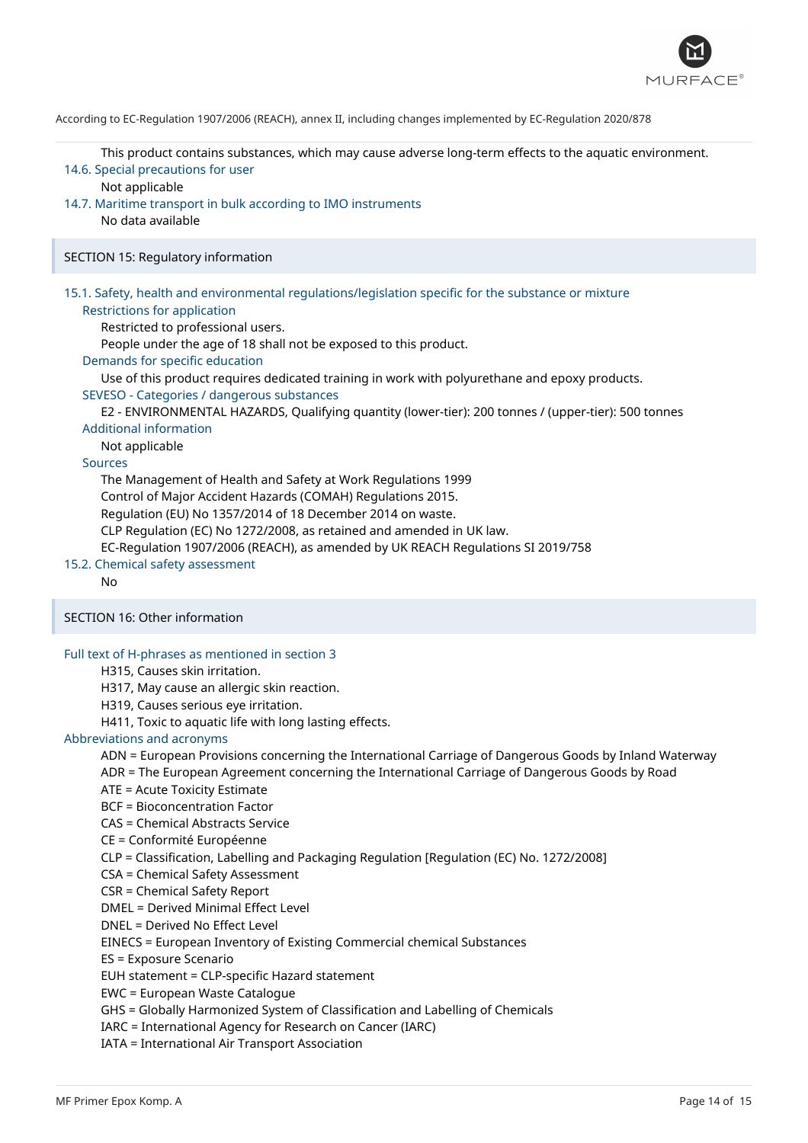

This product contains substances, which may cause adverse long-term effects to the aquatic environment. 14.6. Special precautions for user

Not applicable

14.7. Maritime transport in bulk according to IMO instruments No data available

SECTION 15: Regulatory information

# 15.1. Safety, health and environmental regulations/legislation specific for the substance or mixture Restrictions for application

Restricted to professional users.

People under the age of 18 shall not be exposed to this product.

Demands for specific education

Use of this product requires dedicated training in work with polyurethane and epoxy products.

### SEVESO - Categories / dangerous substances

E2 - ENVIRONMENTAL HAZARDS, Qualifying quantity (lower-tier): 200 tonnes / (upper-tier): 500 tonnes

# Additional information

Not applicable

### Sources

The Management of Health and Safety at Work Regulations 1999 Control of Major Accident Hazards (COMAH) Regulations 2015. Regulation (EU) No 1357/2014 of 18 December 2014 on waste. CLP Regulation (EC) No 1272/2008, as retained and amended in UK law. EC-Regulation 1907/2006 (REACH), as amended by UK REACH Regulations SI 2019/758

### 15.2. Chemical safety assessment

No

### SECTION 16: Other information

### Full text of H-phrases as mentioned in section 3

H315, Causes skin irritation.

H317, May cause an allergic skin reaction.

H319, Causes serious eye irritation.

H411, Toxic to aquatic life with long lasting effects.

### Abbreviations and acronyms

ADN = European Provisions concerning the International Carriage of Dangerous Goods by Inland Waterway

ADR = The European Agreement concerning the International Carriage of Dangerous Goods by Road

ATE = Acute Toxicity Estimate

BCF = Bioconcentration Factor

CAS = Chemical Abstracts Service

CE = Conformité Européenne

CLP = Classification, Labelling and Packaging Regulation [Regulation (EC) No. 1272/2008]

CSA = Chemical Safety Assessment

CSR = Chemical Safety Report

DMEL = Derived Minimal Effect Level

DNEL = Derived No Effect Level

EINECS = European Inventory of Existing Commercial chemical Substances

ES = Exposure Scenario

EUH statement = CLP-specific Hazard statement

EWC = European Waste Catalogue

GHS = Globally Harmonized System of Classification and Labelling of Chemicals

IARC = International Agency for Research on Cancer (IARC)

IATA = International Air Transport Association